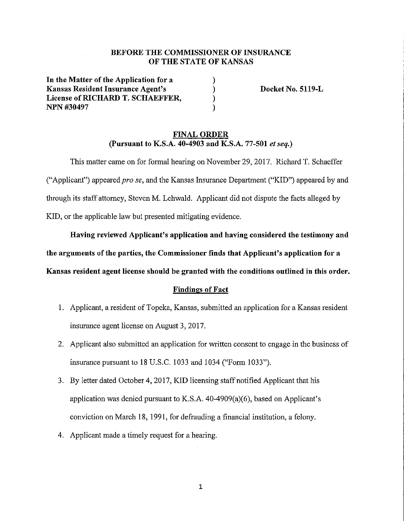# BEFORE THE COMMISSIONER OF INSURANCE OF THE STATE OF KANSAS

) ) ) )

**In the Matter of the Application for a Kansas Resident Insurance Agent's**  License of RICHARD T. SCHAEFFER, **NPN#30497** 

**Docket No. 5119-L** 

## **FINAL ORDER (Pursuant to K.S.A. 40-4903 and K.S.A. 77-501** *et seq.)*

This matter came on for formal hearing on November 29, 2017. Richard T. Schaeffer ("Applicant") appeared *pro se,* and the Kansas Insurance Department ("KID") appeared by and through its staff attorney, Steven M. Lehwald. Applicant did not dispute the facts alleged by KID, or the applicable law but presented mitigating evidence.

**Having reviewed Applicant's application and having considered the testimony and** 

**the arguments of the parties, the Commissioner finds that Applicant's application for a** 

**Kansas resident agent license should be granted with the conditions outlined in this order.** 

## **Findings of Fact**

- 1. Applicant, a resident of Topeka, Kansas, submitted an application for a Kansas resident insurance agent license on August 3, 2017.
- 2. Applicant also submitted an application for written consent to engage in the business of insurance pursuant to 18 U.S.C. 1033 and 1034 ("Form 1033").
- 3. By letter dated October 4, 2017, KID licensing staff notified Applicant that his application was denied pursuant to K.S.A. 40-4909(a)(6), based on Applicant's conviction on March 18, 1991, for defrauding a financial institution, a felony.
- 4. Applicant made a timely request for a hearing.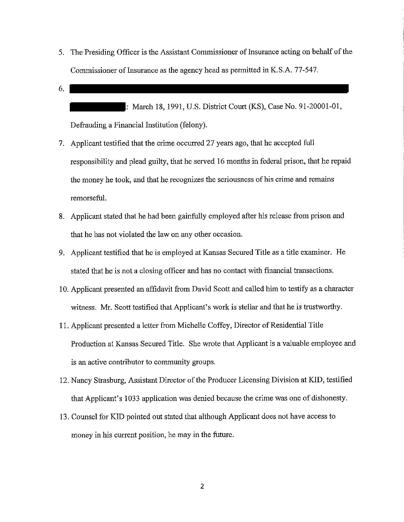- 5. The Presiding Officer is the Assistant Commissioner of Insurance acting on behalf of the Commissioner of Insurance as the agency head as permitted in K.S.A. 77-547.
- 6.

: March 18, 1991, U.S. District Court (KS), Case No. 91-20001-01, Defrauding a Financial Institution (felony).

- 7. Applicant testified that the crime occurred 27 years ago, that he accepted full responsibility and plead guilty, that he served 16 months in federal prison, that he repaid the money he took, and that he recognizes the seriousness of his crime and remains remorseful.
- 8. Applicant stated that he had been gainfully employed after his release from prison and that he has not violated the law on any other occasion.
- 9. Applicant testified that he is employed at Kansas Secured Title as a title examiner. He stated that he is not a closing officer and has no contact with financial transactions.
- 10. Applicant presented an affidavit from David Scott and called him to testify as a character witness. Mr. Scott testified that Applicant's work is stellar and that he is trustworthy.
- 11. Applicant presented a letter from Michelle Coffey, Director of Residential Title Production at Kansas Secured Title. She wrote that Applicant is a valuable employee and is an active contributor to community groups.
- 12. Nancy Strasburg, Assistant Director of the Producer Licensing Division at KID, testified that Applicant's 1033 application was denied because the crime was one of dishonesty.
- 13. Counsel for KID pointed out stated that although Applicant does not have access to money in his current position, he may in the future.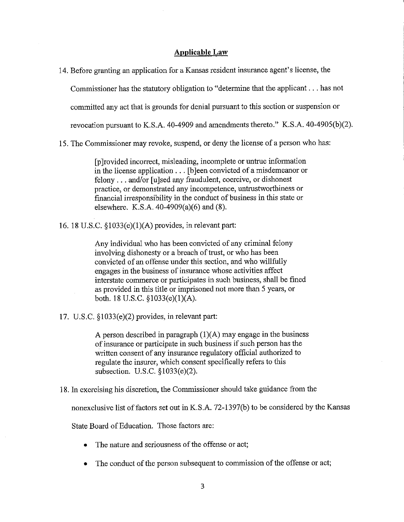#### **Applicable Law**

14. Before granting an application for a Kansas resident insnrance agent's license, the

Connnissioner has the statutory obligation to "determine that the applicant ... has not

committed any act that is grounds for denial pursuant to this section or suspension or

revocation pursuant to K.S.A. 40-4909 and amendments thereto." K.S.A. 40-4905(b)(2).

15. The Connnissioner may revoke, suspend, or deny the license of a person who has:

[p Jrovided incorrect, misleading, incomplete or untrue information in the license application ... [b Jeen convicted of a misdemeanor or felony ... and/or [u]sed any fraudulent, coercive, or dishonest practice, or demonstrated any incompetence, untrustworthiness or financial irresponsibility in the conduct of business in this state or elsewhere. K.S.A. 40-4909(a)(6) and (8).

16. 18 U.S.C. § 1033(e)(l)(A) provides, in relevant part:

Any individual who has been convicted of any criminal felony involving dishonesty or a breach of trust, or who has been convicted of an offense under this section, and who willfully engages in the business of insurance whose activities affect interstate connnerce or participates in such business, shall be fined as provided in this title or imprisoned not more than 5 years, or both. 18 U.S.C.  $\S 1033(e)(1)(A)$ .

17. U.S.C. §1033(e)(2) provides, in relevant part:

A person described in paragraph  $(1)(A)$  may engage in the business of insurance or participate in such business if such person has the written consent of any insurance regulatory official authorized to regulate the insurer, which consent specifically refers to this subsection. U.S.C. §1033(e)(2).

18. In exercising his discretion, the Connnissioner should take guidance from the

nonexclusive list of factors set out in K.S.A. 72-1397(b) to be considered by the Kansas

State Board of Education. Those factors are:

- The nature and seriousness of the offense or act;
- The conduct of the person subsequent to commission of the offense or act;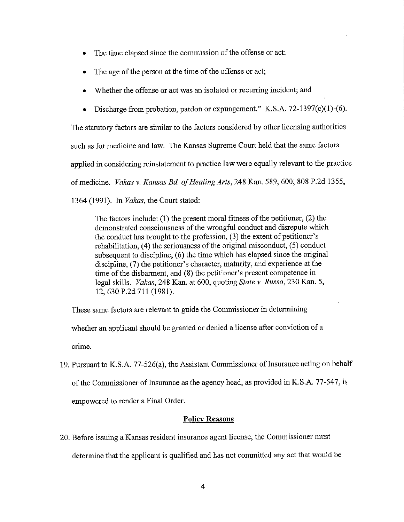- The time elapsed since the commission of the offense or act;
- The age of the person at the time of the offense or act;
- Whether the offense or act was an isolated or recurring incident; and
- Discharge from probation, pardon or expungement." K.S.A. 72-1397(c)(l)-(6).

The statutory factors are similar to the factors considered by other licensing authorities such as for medicine and law. The Kansas Supreme Court held that the same factors applied in considering reinstatement to practice law were equally relevant to the practice of medicine. *Vakas v. Kansas Bd. of Healing Arts,* 248 Kan. 589,600, 808 P.2d 1355, 1364 (1991). In *Vakas,* the Court stated:

The factors include: (1) the present moral fitness of the petitioner, (2) the demonstrated consciousness of the wrongful conduct and disrepute which the conduct has brought to the profession, (3) the extent of petitioner's rehabilitation, (4) the seriousness of the original misconduct, (5) conduct subsequent to discipline, (6) the time which has elapsed since the original discipline, (7) the petitioner's character, maturity, and experience at the time of the disbarment, and (8) the petitioner's present competence in legal skills. *Vakas,* 248 Kan. at 600, quoting *State v. Russo,* 230 Kan. 5, 12,630 P.2d 711 (1981).

These same factors are relevant to guide the Commissioner in determining

whether an applicant should be granted or denied a license after conviction of a crime.

19. Pursuant to K.S.A. 77-526(a), the Assistant Commissioner of Insurance acting on behalf of the Commissioner of Insurance as the agency head, as provided in K.S.A. 77-547, is empowered to render a Final Order.

## **Policy Reasons**

20. Before issuing a Kansas resident insurance agent license, the Commissioner must determine that the applicant is qualified and has not committed any act that would be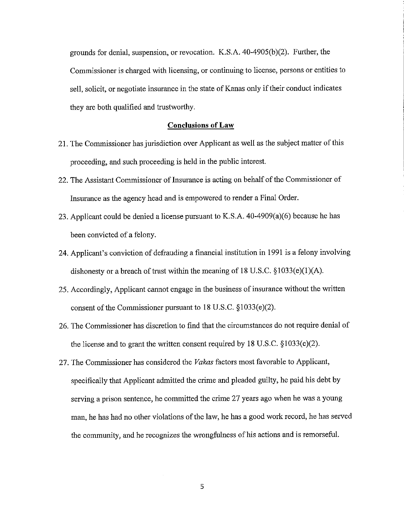grounds for denial, suspension, or revocation. K.S.A.  $40-4905(b)(2)$ . Further, the Commissioner is charged with licensing, or continuing to license, persons or entities to sell, solicit, or negotiate insurance in the state of Kanas only if their conduct indicates they are both qualified and trustworthy.

#### **Conclusions of Law**

- 21. The Commissioner has jurisdiction over Applicant as well as the subject matter of this proceeding, and such proceeding is held in the public interest.
- 22. The Assistant Commissioner of Insurance is acting on behalf of the Commissioner of Insurance as the agency head and is empowered to render a Final Order.
- 23. Applicant could be denied a license pursuant to K.S.A. 40-4909(a)(6) because he has been convicted of a felony.
- 24. Applicant's conviction of defrauding a financial institution in 1991 is a felony involving dishonesty or a breach of trust within the meaning of 18 U.S.C.  $\S 1033(e)(1)(A)$ .
- 25. Accordingly, Applicant cannot engage in the business of insurance without the written consent of the Commissioner pursuant to  $18$  U.S.C.  $\S 1033(e)(2)$ .
- 26. The Commissioner has discretion to find that the circumstances do not require denial of the license and to grant the written consent required by 18 U.S.C.  $\S 1033(e)(2)$ .
- 27. The Commissioner has considered the *Vakas* factors most favorable to Applicant, specifically that Applicant admitted the crime and pleaded guilty, he paid his debt by serving a prison sentence, he committed the crime 27 years ago when he was a young man, he has had no other violations of the law, he has a good work record, he has served the conununity, and he recognizes the wrongfulness of his actions and is remorseful.

5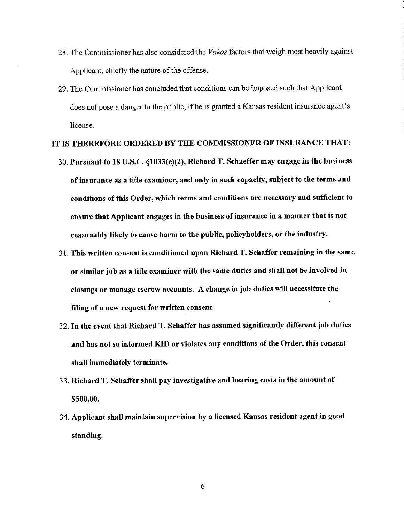- 28. The Commissioner has also considered the *Vakas* factors that weigh most heavily against Applicant, chiefly the nature of the offense.
- 29. The Commissioner has concluded that conditions can be imposed such that Applicant does not pose a danger to the public, if he is granted a Kansas resident insurance agent's license.

# **IT IS THEREFORE ORDERED BY THE COMMISSIONER OF INSURANCE THAT:**

- 30. **Pursuant to 18 U.S.C. §1033(e)(2), Richard T. Schaeffer may engage in the business of insurance as a title examiner, and only in such capacity, subject to the terms and conditions of this Order, which terms and conditions are necessary and sufficient to ensure that Applicant engages in the business of insurance in a manner that is not reasonably likely to cause harm to the public, policyholders, or the industry.**
- 31. **This written consent is conditioned upon Richard T. Schaffer remaining in the same or similar job as a title examiner with the same duties and shall not be involved in closings or manage escrow accounts. A change in job duties will necessitate the filing of a new request for written consent.**
- 32. **In the event that Richard T. Schaffer has assumed significantly different job duties and has not so informed KID or violates any conditions of the Order, this consent shall immediately terminate.**
- 33. **Richard T. Schaffer shall pay investigative and hearing costs in the amount of \$500.00.**
- 34. Applicant shall maintain supervision by a licensed Kansas resident agent in good standing.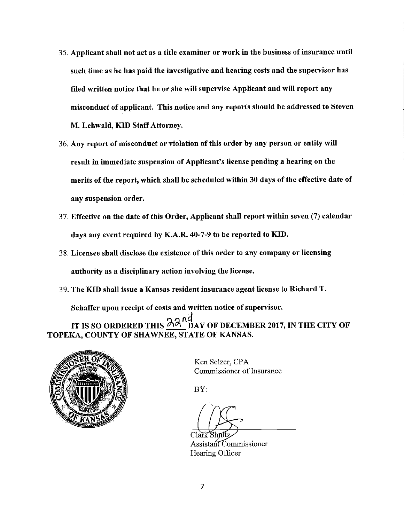- 35. Applicant shall not act as a title examiner or work in the business of insurance until such time as he has paid the investigative and hearing costs and the supervisor has filed written notice that he or she will supervise Applicant and will report any misconduct of applicant. This notice and any reports should be addressed to Steven M. Lehwald, **KID** Staff Attorney.
- 36. Any report of misconduct or violation of this order by any person or entity will result in immediate suspension of Applicant's license pending a hearing on the merits of the report, which shall be scheduled within 30 days of the effective date of any suspension order.
- 37. Effective on the date of this Order, Applicant shall report within seven (7) calendar days any event required by K.A.R. 40-7-9 to be reported to KID.
- 3 8. Licensee shall disclose the existence of this order to any company or licensing authority as a disciplinary action involving the license.
- 39. The KID shall issue a Kansas resident insurance agent license to Richard T.

Schaffer upon receipt of costs and written notice of supervisor.

IT IS SO ORDERED THIS  $\frac{\partial A}{\partial N}$  DAY OF DECEMBER 2017, IN THE CITY OF TOPEKA, COUNTY OF SHAWNEE, STATE OF KANSAS.



Ken Selzer, CPA Commissioner of Insurance

BY:

Shufi

Assistant Commissioner Hearing Officer